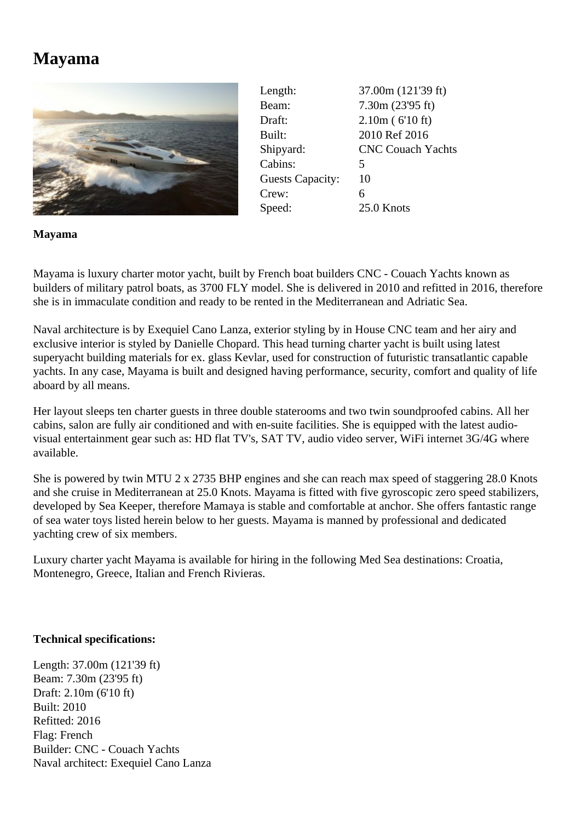## **Mayama**



Length: 37.00m (121'39 ft) Beam: 7.30m (23'95 ft) Draft: 2.10m ( 6'10 ft) Built: 2010 Ref 2016 Shipyard: CNC Couach Yachts Cabins: 5 Guests Capacity: 10 Crew: 6 Speed: 25.0 Knots

**Mayama**

Mayama is luxury charter motor yacht, built by French boat builders CNC - Couach Yachts known as builders of military patrol boats, as 3700 FLY model. She is delivered in 2010 and refitted in 2016, therefore she is in immaculate condition and ready to be rented in the Mediterranean and Adriatic Sea.

Naval architecture is by Exequiel Cano Lanza, exterior styling by in House CNC team and her airy and exclusive interior is styled by Danielle Chopard. This head turning charter yacht is built using latest superyacht building materials for ex. glass Kevlar, used for construction of futuristic transatlantic capable yachts. In any case, Mayama is built and designed having performance, security, comfort and quality of life aboard by all means.

Her layout sleeps ten charter guests in three double staterooms and two twin soundproofed cabins. All her cabins, salon are fully air conditioned and with en-suite facilities. She is equipped with the latest audiovisual entertainment gear such as: HD flat TV's, SAT TV, audio video server, WiFi internet 3G/4G where available.

She is powered by twin MTU 2 x 2735 BHP engines and she can reach max speed of staggering 28.0 Knots and she cruise in Mediterranean at 25.0 Knots. Mayama is fitted with five gyroscopic zero speed stabilizers, developed by Sea Keeper, therefore Mamaya is stable and comfortable at anchor. She offers fantastic range of sea water toys listed herein below to her guests. Mayama is manned by professional and dedicated yachting crew of six members.

Luxury charter yacht Mayama is available for hiring in the following Med Sea destinations: Croatia, Montenegro, Greece, Italian and French Rivieras.

## **Technical specifications:**

Length: 37.00m (121'39 ft) Beam: 7.30m (23'95 ft) Draft: 2.10m (6'10 ft) Built: 2010 Refitted: 2016 Flag: French Builder: CNC - Couach Yachts Naval architect: Exequiel Cano Lanza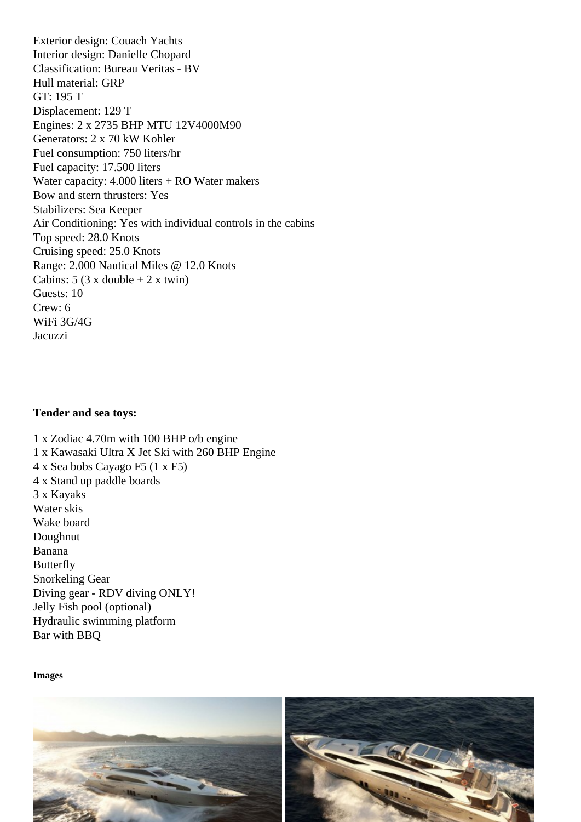Interior design: Danielle Chopard Classification: Bureau Veritas - BV Hull material: GRP GT: 195 T Displacement: 129 T Engines: 2 x 2735 BHP MTU 12V4000M90 Generators: 2 x 70 kW Kohler Fuel consumption: 750 liters/hr Fuel capacity: 17.500 liters Water capacity: 4.000 liters + RO Water makers Bow and stern thrusters: Yes Stabilizers: Sea Keeper Air Conditioning: Yes with individual controls in the cabins Top speed: 28.0 Knots Cruising speed: 25.0 Knots Range: 2.000 Nautical Miles @ 12.0 Knots Cabins:  $5 (3 \times \text{double} + 2 \times \text{twin})$ Guests: 10 Crew: 6 WiFi 3G/4G Jacuzzi

Tender and sea toys:

1 x Zodiac 4.70m with 100 BHP o/b engine 1 x Kawasaki Ultra X Jet Ski with 260 BHP Engine 4 x Sea bobs Cayago F5 (1 x F5) 4 x Stand up paddle boards 3 x Kayaks Water skis Wake board Doughnut Banana **Butterfly** Snorkeling Gear Diving gear - RDV diving ONLY! Jelly Fish pool (optional) Hydraulic swimming platform Bar with BBQ

Images